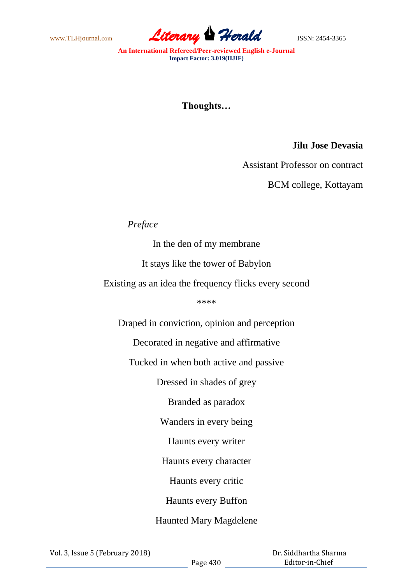www.TLHjournal.com **Literary Herald** ISSN: 2454-3365

**An International Refereed/Peer-reviewed English e-Journal Impact Factor: 3.019(IIJIF)**

# **Thoughts…**

### **Jilu Jose Devasia**

Assistant Professor on contract

BCM college, Kottayam

## *Preface*

In the den of my membrane

It stays like the tower of Babylon

Existing as an idea the frequency flicks every second

\*\*\*\*

Draped in conviction, opinion and perception

Decorated in negative and affirmative

Tucked in when both active and passive

Dressed in shades of grey

Branded as paradox

Wanders in every being

Haunts every writer

Haunts every character

Haunts every critic

Haunts every Buffon

# Haunted Mary Magdelene

 Dr. Siddhartha Sharma Editor-in-Chief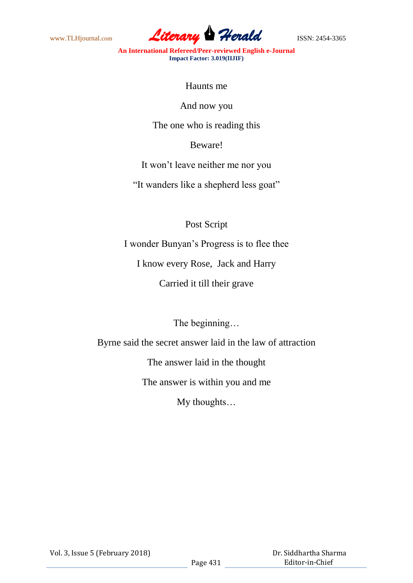

**An International Refereed/Peer-reviewed English e-Journal Impact Factor: 3.019(IIJIF)**

Haunts me

And now you

The one who is reading this

Beware!

It won't leave neither me nor you

"It wanders like a shepherd less goat"

Post Script

I wonder Bunyan's Progress is to flee thee

I know every Rose, Jack and Harry

Carried it till their grave

The beginning…

Byrne said the secret answer laid in the law of attraction

The answer laid in the thought

The answer is within you and me

My thoughts…